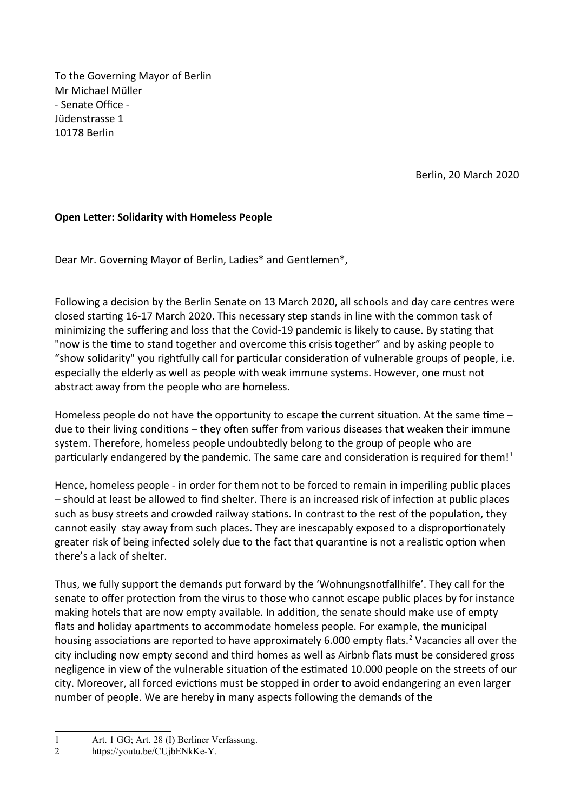To the Governing Mayor of Berlin Mr Michael Müller - Senate Office - Jüdenstrasse 1 10178 Berlin

Berlin, 20 March 2020

## **Open Letter: Solidarity with Homeless People**

Dear Mr. Governing Mayor of Berlin, Ladies\* and Gentlemen\*,

Following a decision by the Berlin Senate on 13 March 2020, all schools and day care centres were closed starting 16-17 March 2020. This necessary step stands in line with the common task of minimizing the suffering and loss that the Covid-19 pandemic is likely to cause. By stating that "now is the time to stand together and overcome this crisis together" and by asking people to "show solidarity" you rightfully call for particular consideration of vulnerable groups of people, i.e. especially the elderly as well as people with weak immune systems. However, one must not abstract away from the people who are homeless.

Homeless people do not have the opportunity to escape the current situation. At the same time due to their living conditions – they often suffer from various diseases that weaken their immune system. Therefore, homeless people undoubtedly belong to the group of people who are particularly endangered by the pandemic. The same care and consideration is required for them!<sup>[1](#page-0-0)</sup>

Hence, homeless people - in order for them not to be forced to remain in imperiling public places – should at least be allowed to find shelter. There is an increased risk of infection at public places such as busy streets and crowded railway stations. In contrast to the rest of the population, they cannot easily stay away from such places. They are inescapably exposed to a disproportionately greater risk of being infected solely due to the fact that quarantine is not a realistic option when there's a lack of shelter.

Thus, we fully support the demands put forward by the 'Wohnungsnotfallhilfe'. They call for the senate to offer protection from the virus to those who cannot escape public places by for instance making hotels that are now empty available. In addition, the senate should make use of empty flats and holiday apartments to accommodate homeless people. For example, the municipal housing associations are reported to have approximately 6.000 empty flats.<sup>[2](#page-0-1)</sup> Vacancies all over the city including now empty second and third homes as well as Airbnb flats must be considered gross negligence in view of the vulnerable situation of the estimated 10.000 people on the streets of our city. Moreover, all forced evictions must be stopped in order to avoid endangering an even larger number of people. We are hereby in many aspects following the demands of the

<span id="page-0-0"></span><sup>1</sup> Art. 1 GG; Art. 28 (I) Berliner Verfassung.

<span id="page-0-1"></span><sup>2</sup> [https://youtu.be/CUjbENkKe-Y.](https://youtu.be/CUjbENkKe-Y)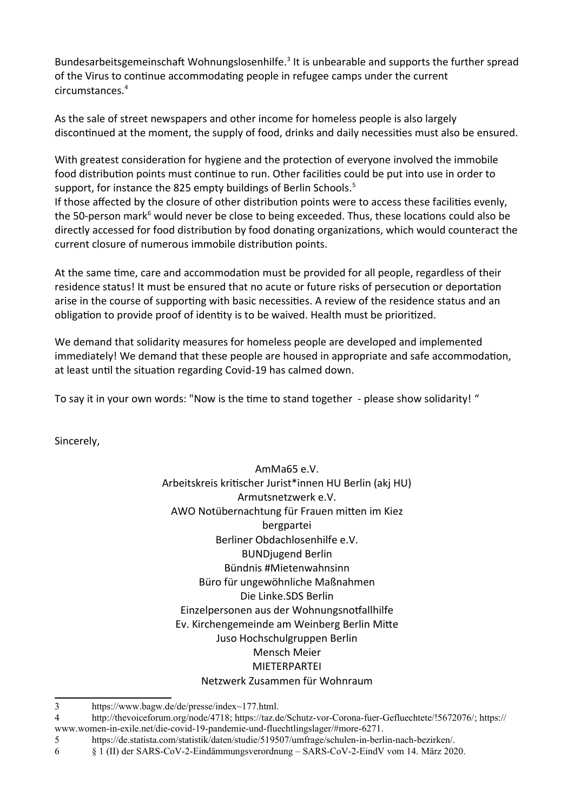Bundesarbeitsgemeinschaft Wohnungslosenhilfe.<sup>[3](#page-1-0)</sup> It is unbearable and supports the further spread of the Virus to continue accommodating people in refugee camps under the current circumstances.[4](#page-1-1)

As the sale of street newspapers and other income for homeless people is also largely discontinued at the moment, the supply of food, drinks and daily necessities must also be ensured.

With greatest consideration for hygiene and the protection of everyone involved the immobile food distribution points must continue to run. Other facilities could be put into use in order to support, for instance the 82[5](#page-1-2) empty buildings of Berlin Schools.<sup>5</sup>

If those affected by the closure of other distribution points were to access these facilities evenly, the 50-person mark<sup>[6](#page-1-3)</sup> would never be close to being exceeded. Thus, these locations could also be directly accessed for food distribution by food donating organizations, which would counteract the current closure of numerous immobile distribution points.

At the same time, care and accommodation must be provided for all people, regardless of their residence status! It must be ensured that no acute or future risks of persecution or deportation arise in the course of supporting with basic necessities. A review of the residence status and an obligation to provide proof of identity is to be waived. Health must be prioritized.

We demand that solidarity measures for homeless people are developed and implemented immediately! We demand that these people are housed in appropriate and safe accommodation, at least until the situation regarding Covid-19 has calmed down.

To say it in your own words: "Now is the time to stand together - please show solidarity! "

Sincerely,

AmMa65 e.V. Arbeitskreis kritischer Jurist\*innen HU Berlin (akj HU) Armutsnetzwerk e.V. AWO Notübernachtung für Frauen mitten im Kiez bergpartei Berliner Obdachlosenhilfe e.V. BUNDjugend Berlin Bündnis #Mietenwahnsinn Büro für ungewöhnliche Maßnahmen Die Linke.SDS Berlin Einzelpersonen aus der Wohnungsnotfallhilfe Ev. Kirchengemeinde am Weinberg Berlin Mitte Juso Hochschulgruppen Berlin Mensch Meier MIETERPARTEI Netzwerk Zusammen für Wohnraum

<span id="page-1-0"></span><sup>3</sup> https://www.bagw.de/de/presse/index~177.html.

<span id="page-1-1"></span><sup>4</sup> [http://thevoiceforum.org/node/4718](https://deref-web-02.de/mail/client/MJwgDqZ_ADs/dereferrer/?redirectUrl=http%3A%2F%2Fthevoiceforum.org%2Fnode%2F4718); [https://taz.de/Schutz-vor-Corona-fuer-Gefluechtete/!5672076/](https://deref-web-02.de/mail/client/ajbcdELVezs/dereferrer/?redirectUrl=https%3A%2F%2Ftaz.de%2FSchutz-vor-Corona-fuer-Gefluechtete%2F!5672076%2F); [https://](https://deref-web-02.de/mail/client/qdxzWqHEbBM/dereferrer/?redirectUrl=https%3A%2F%2Fwww.women-in-exile.net%2Fdie-covid-19-pandemie-und-fluechtlingslager%2F%23more-6271) [www.women-in-exile.net/die-covid-19-pandemie-und-fluechtlingslager/#more-6271.](https://deref-web-02.de/mail/client/qdxzWqHEbBM/dereferrer/?redirectUrl=https%3A%2F%2Fwww.women-in-exile.net%2Fdie-covid-19-pandemie-und-fluechtlingslager%2F%23more-6271)

<span id="page-1-2"></span><sup>5</sup> https://de.statista.com/statistik/daten/studie/519507/umfrage/schulen-in-berlin-nach-bezirken/.

<span id="page-1-3"></span><sup>6 § 1 (</sup>II) der SARS-CoV-2-Eindämmungsverordnung – SARS-CoV-2-EindV vom 14. März 2020.